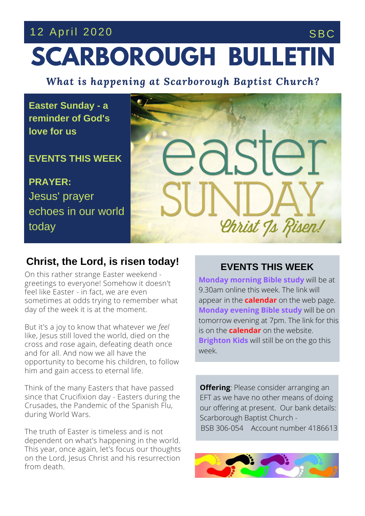## **SCARBOROUGH BULLETIN** 12 April 2020 SBC

*What is happening at Scarborough Baptist Church?*

**Easter Sunday - a reminder of God's love for us**

**EVENTS THIS WEEK**

**PRAYER:** Jesus' prayer echoes in our world today



## **Christ, the Lord, is risen today!**

On this rather strange Easter weekend greetings to everyone! Somehow it doesn't feel like Easter - in fact, we are even sometimes at odds trying to remember what day of the week it is at the moment.

**THE SERVICE THIS** like, Jesus still loved the world, died on the But it's a joy to know that whatever we *feel* cross and rose again, defeating death once and for all. And now we all have the opportunity to become his children, to follow him and gain access to eternal life.

Think of the many Easters that have passed since that Crucifixion day - Easters during the Crusades, the Pandemic of the Spanish Flu, during World Wars.

The truth of Easter is timeless and is not dependent on what's happening in the world. This year, once again, let's focus our thoughts on the Lord, Jesus Christ and his resurrection from death.

## **EVENTS THIS WEEK**

**Monday morning Bible study** will be at 9.30am online this week. The link will appear in the **calendar** on the web page. **Monday evening Bible study** will be on tomorrow evening at 7pm. The link for this is on the **calendar** on the website. **Brighton Kids** will still be on the go this week.

**Offering**: Please consider arranging an EFT as we have no other means of doing our offering at present. Our bank details: Scarborough Baptist Church - BSB 306-054 Account number 4186613